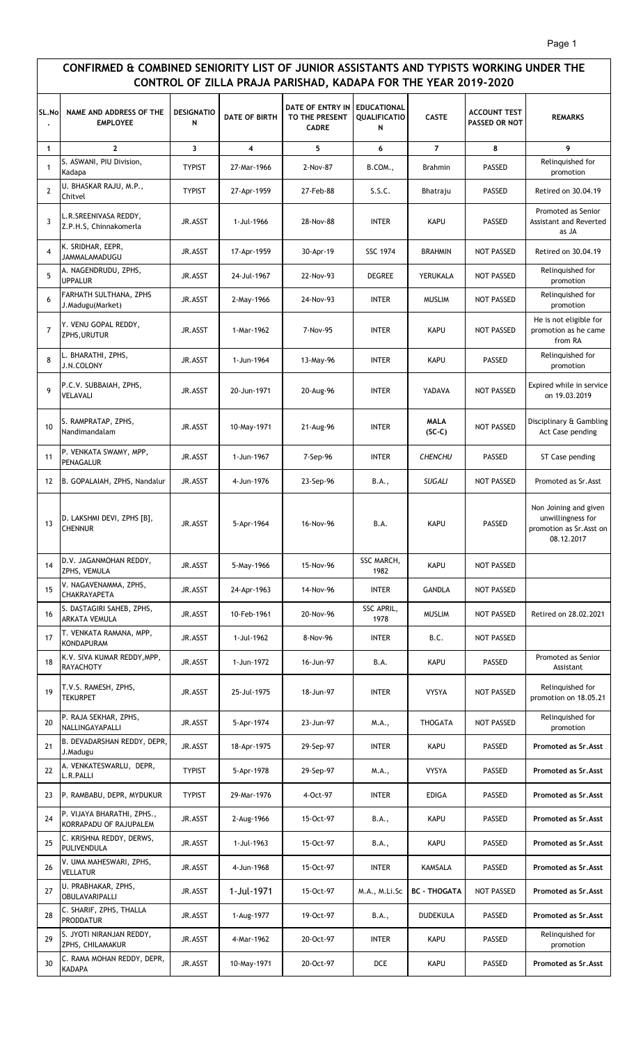## **CONFIRMED & COMBINED SENIORITY LIST OF JUNIOR ASSISTANTS AND TYPISTS WORKING UNDER THE CONTROL OF ZILLA PRAJA PARISHAD, KADAPA FOR THE YEAR 2019-2020**

| SL.No          | NAME AND ADDRESS OF THE<br><b>EMPLOYEE</b>           | <b>DESIGNATIO</b><br>N | <b>DATE OF BIRTH</b> | DATE OF ENTRY IN<br>TO THE PRESENT<br><b>CADRE</b> | <b>EDUCATIONAL</b><br><b>QUALIFICATIO</b><br>N | <b>CASTE</b>            | <b>ACCOUNT TEST</b><br><b>PASSED OR NOT</b> | <b>REMARKS</b>                                                                       |
|----------------|------------------------------------------------------|------------------------|----------------------|----------------------------------------------------|------------------------------------------------|-------------------------|---------------------------------------------|--------------------------------------------------------------------------------------|
| $\mathbf{1}$   | $\mathbf{2}$                                         | 3                      | 4                    | 5                                                  | 6                                              | $\overline{7}$          | 8                                           | 9                                                                                    |
| $\mathbf{1}$   | S. ASWANI, PIU Division,<br>Kadapa                   | <b>TYPIST</b>          | 27-Mar-1966          | 2-Nov-87                                           | B.COM.,                                        | <b>Brahmin</b>          | <b>PASSED</b>                               | Relinquished for<br>promotion                                                        |
| $\overline{2}$ | U. BHASKAR RAJU, M.P.,<br>Chitvel                    | <b>TYPIST</b>          | 27-Apr-1959          | 27-Feb-88                                          | S.S.C.                                         | Bhatraju                | <b>PASSED</b>                               | Retired on 30.04.19                                                                  |
| $\overline{3}$ | L.R.SREENIVASA REDDY,<br>Z.P.H.S, Chinnakomerla      | JR.ASST                | 1-Jul-1966           | 28-Nov-88                                          | <b>INTER</b>                                   | <b>KAPU</b>             | <b>PASSED</b>                               | Promoted as Senior<br><b>Assistant and Reverted</b><br>as JA                         |
| 4              | K. SRIDHAR, EEPR,<br>JAMMALAMADUGU                   | JR.ASST                | 17-Apr-1959          | 30-Apr-19                                          | <b>SSC 1974</b>                                | <b>BRAHMIN</b>          | <b>NOT PASSED</b>                           | Retired on 30.04.19                                                                  |
| 5              | A. NAGENDRUDU, ZPHS,<br><b>UPPALUR</b>               | JR.ASST                | 24-Jul-1967          | 22-Nov-93                                          | <b>DEGREE</b>                                  | YERUKALA                | <b>NOT PASSED</b>                           | Relinquished for<br>promotion                                                        |
| 6              | FARHATH SULTHANA, ZPHS<br>J.Madugu(Market)           | JR.ASST                | 2-May-1966           | 24-Nov-93                                          | <b>INTER</b>                                   | <b>MUSLIM</b>           | NOT PASSED                                  | Relinquished for<br>promotion                                                        |
| $\overline{7}$ | Y. VENU GOPAL REDDY,<br>ZPHS, URUTUR                 | JR.ASST                | 1-Mar-1962           | 7-Nov-95                                           | <b>INTER</b>                                   | <b>KAPU</b>             | <b>NOT PASSED</b>                           | He is not eligible for<br>promotion as he came<br>from RA                            |
| 8              | L. BHARATHI, ZPHS,<br><b>J.N.COLONY</b>              | JR.ASST                | 1-Jun-1964           | 13-May-96                                          | <b>INTER</b>                                   | <b>KAPU</b>             | <b>PASSED</b>                               | Relinquished for<br>promotion                                                        |
| 9              | P.C.V. SUBBAIAH, ZPHS,<br><b>VELAVALI</b>            | JR.ASST                | 20-Jun-1971          | 20-Aug-96                                          | <b>INTER</b>                                   | YADAVA                  | NOT PASSED                                  | Expired while in service<br>on 19.03.2019                                            |
| 10             | S. RAMPRATAP, ZPHS,<br>Nandimandalam                 | JR.ASST                | 10-May-1971          | 21-Aug-96                                          | <b>INTER</b>                                   | <b>MALA</b><br>$(SC-C)$ | <b>NOT PASSED</b>                           | Disciplinary & Gambling<br>Act Case pending                                          |
| 11             | P. VENKATA SWAMY, MPP,<br>PENAGALUR                  | JR.ASST                | 1-Jun-1967           | 7-Sep-96                                           | <b>INTER</b>                                   | <b>CHENCHU</b>          | <b>PASSED</b>                               | ST Case pending                                                                      |
| 12             | B. GOPALAIAH, ZPHS, Nandalur                         | JR.ASST                | 4-Jun-1976           | 23-Sep-96                                          | B.A.,                                          | <b>SUGALI</b>           | NOT PASSED                                  | Promoted as Sr.Asst                                                                  |
| 13             | D. LAKSHMI DEVI, ZPHS [B],<br><b>CHENNUR</b>         | JR.ASST                | 5-Apr-1964           | 16-Nov-96                                          | B.A.                                           | <b>KAPU</b>             | <b>PASSED</b>                               | Non Joining and given<br>unwillingness for<br>promotion as Sr. Asst on<br>08.12.2017 |
| 14             | D.V. JAGANMOHAN REDDY,<br>ZPHS, VEMULA               | JR.ASST                | 5-May-1966           | 15-Nov-96                                          | SSC MARCH,<br>1982                             | <b>KAPU</b>             | NOT PASSED                                  |                                                                                      |
| 15             | V. NAGAVENAMMA, ZPHS,<br>CHAKRAYAPETA                | JR.ASST                | 24-Apr-1963          | 14-Nov-96                                          | <b>INTER</b>                                   | <b>GANDLA</b>           | NOT PASSED                                  |                                                                                      |
| 16             | S. DASTAGIRI SAHEB, ZPHS,<br><b>ARKATA VEMULA</b>    | JR.ASST                | 10-Feb-1961          | 20-Nov-96                                          | SSC APRIL,<br>1978                             | <b>MUSLIM</b>           | NOT PASSED                                  | Retired on 28.02.2021                                                                |
| 17             | T. VENKATA RAMANA, MPP,<br><b>KONDAPURAM</b>         | JR.ASST                | 1-Jul-1962           | 8-Nov-96                                           | <b>INTER</b>                                   | B.C.                    | NOT PASSED                                  |                                                                                      |
| 18             | K.V. SIVA KUMAR REDDY, MPP,<br><b>RAYACHOTY</b>      | JR.ASST                | 1-Jun-1972           | 16-Jun-97                                          | B.A.                                           | <b>KAPU</b>             | <b>PASSED</b>                               | Promoted as Senior<br>Assistant                                                      |
| 19             | T.V.S. RAMESH, ZPHS,<br><b>TEKURPET</b>              | JR.ASST                | 25-Jul-1975          | 18-Jun-97                                          | <b>INTER</b>                                   | <b>VYSYA</b>            | NOT PASSED                                  | Relinquished for<br>promotion on 18.05.21                                            |
| 20             | P. RAJA SEKHAR, ZPHS,<br>NALLINGAYAPALLI             | JR.ASST                | 5-Apr-1974           | 23-Jun-97                                          | M.A.,                                          | <b>THOGATA</b>          | NOT PASSED                                  | Relinquished for<br>promotion                                                        |
| 21             | B. DEVADARSHAN REDDY, DEPR,<br>J.Madugu              | JR.ASST                | 18-Apr-1975          | 29-Sep-97                                          | <b>INTER</b>                                   | <b>KAPU</b>             | <b>PASSED</b>                               | Promoted as Sr. Asst                                                                 |
| 22             | A. VENKATESWARLU, DEPR,<br>L.R.PALLI                 | <b>TYPIST</b>          | 5-Apr-1978           | 29-Sep-97                                          | M.A.,                                          | <b>VYSYA</b>            | <b>PASSED</b>                               | Promoted as Sr. Asst                                                                 |
| 23             | P. RAMBABU, DEPR, MYDUKUR                            | <b>TYPIST</b>          | 29-Mar-1976          | 4-Oct-97                                           | <b>INTER</b>                                   | <b>EDIGA</b>            | PASSED                                      | Promoted as Sr. Asst                                                                 |
| 24             | P. VIJAYA BHARATHI, ZPHS.,<br>KORRAPADU OF RAJUPALEM | JR.ASST                | 2-Aug-1966           | 15-Oct-97                                          | B.A.,                                          | <b>KAPU</b>             | <b>PASSED</b>                               | Promoted as Sr. Asst                                                                 |
| 25             | C. KRISHNA REDDY, DERWS,<br>PULIVENDULA              | JR.ASST                | 1-Jul-1963           | 15-Oct-97                                          | B.A.,                                          | <b>KAPU</b>             | <b>PASSED</b>                               | Promoted as Sr. Asst                                                                 |
| 26             | V. UMA MAHESWARI, ZPHS,<br>VELLATUR                  | JR.ASST                | 4-Jun-1968           | 15-Oct-97                                          | <b>INTER</b>                                   | KAMSALA                 | <b>PASSED</b>                               | Promoted as Sr. Asst                                                                 |
| 27             | U. PRABHAKAR, ZPHS,<br>OBULAVARIPALLI                | JR.ASST                | 1-Jul-1971           | 15-Oct-97                                          | M.A., M.Li.Sc                                  | <b>BC - THOGATA</b>     | NOT PASSED                                  | Promoted as Sr. Asst                                                                 |
| 28             | C. SHARIF, ZPHS, THALLA<br><b>PRODDATUR</b>          | JR.ASST                | 1-Aug-1977           | 19-Oct-97                                          | B.A.,                                          | <b>DUDEKULA</b>         | <b>PASSED</b>                               | Promoted as Sr. Asst                                                                 |
| 29             | S. JYOTI NIRANJAN REDDY,<br>ZPHS, CHILAMAKUR         | JR.ASST                | 4-Mar-1962           | 20-Oct-97                                          | <b>INTER</b>                                   | <b>KAPU</b>             | PASSED                                      | Relinquished for<br>promotion                                                        |
| 30             | C. RAMA MOHAN REDDY, DEPR,<br><b>KADAPA</b>          | JR.ASST                | 10-May-1971          | 20-Oct-97                                          | DCE                                            | <b>KAPU</b>             | PASSED                                      | Promoted as Sr. Asst                                                                 |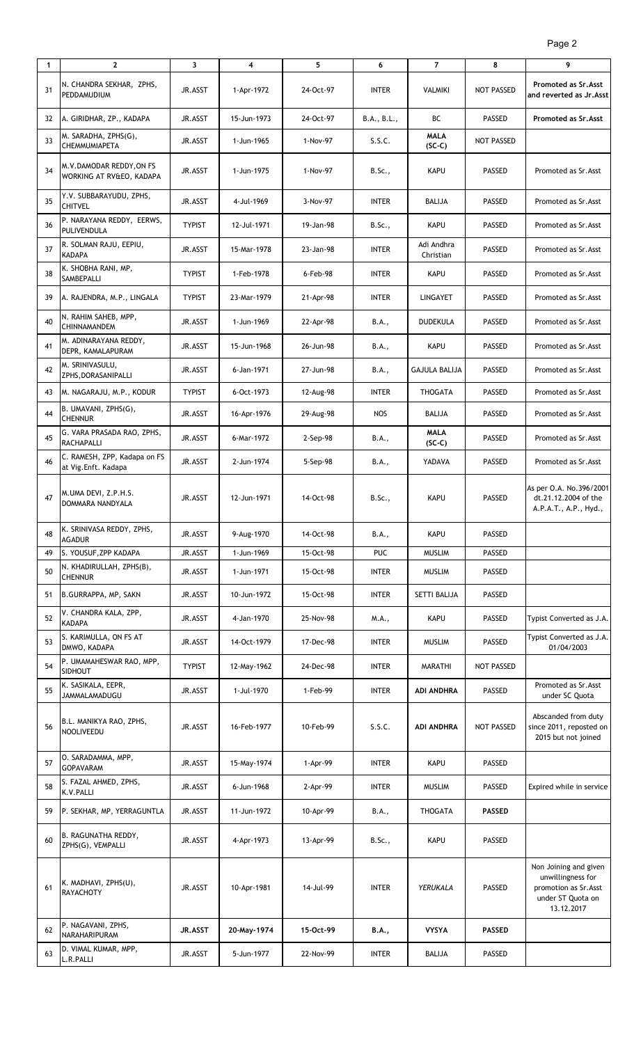| $\mathbf{1}$ | $\mathbf{2}$                                         | 3              | 4           | 5          | 6            | $\overline{7}$          | 8                 | 9                                                                                                      |
|--------------|------------------------------------------------------|----------------|-------------|------------|--------------|-------------------------|-------------------|--------------------------------------------------------------------------------------------------------|
| 31           | N. CHANDRA SEKHAR, ZPHS,<br>PEDDAMUDIUM              | JR.ASST        | 1-Apr-1972  | 24-Oct-97  | <b>INTER</b> | <b>VALMIKI</b>          | NOT PASSED        | Promoted as Sr. Asst<br>and reverted as Jr.Asst                                                        |
| 32           | A. GIRIDHAR, ZP., KADAPA                             | JR.ASST        | 15-Jun-1973 | 24-Oct-97  | B.A., B.L.,  | ВC                      | PASSED            | <b>Promoted as Sr. Asst</b>                                                                            |
| 33           | M. SARADHA, ZPHS(G),<br>CHEMMUMIAPETA                | JR.ASST        | 1-Jun-1965  | 1-Nov-97   | S.S.C.       | <b>MALA</b><br>$(SC-C)$ | NOT PASSED        |                                                                                                        |
| 34           | M.V.DAMODAR REDDY, ON FS<br>WORKING AT RV&EO, KADAPA | JR.ASST        | 1-Jun-1975  | 1-Nov-97   | B.Sc.,       | <b>KAPU</b>             | <b>PASSED</b>     | Promoted as Sr.Asst                                                                                    |
| 35           | Y.V. SUBBARAYUDU, ZPHS,<br><b>CHITVEL</b>            | JR.ASST        | 4-Jul-1969  | 3-Nov-97   | INTER        | BALIJA                  | <b>PASSED</b>     | Promoted as Sr.Asst                                                                                    |
| 36           | P. NARAYANA REDDY, EERWS,<br>PULIVENDULA             | <b>TYPIST</b>  | 12-Jul-1971 | 19-Jan-98  | B.Sc.,       | <b>KAPU</b>             | <b>PASSED</b>     | Promoted as Sr.Asst                                                                                    |
| 37           | R. SOLMAN RAJU, EEPIU,<br><b>KADAPA</b>              | JR.ASST        | 15-Mar-1978 | 23-Jan-98  | INTER        | Adi Andhra<br>Christian | <b>PASSED</b>     | Promoted as Sr.Asst                                                                                    |
| 38           | K. SHOBHA RANI, MP,<br>SAMBEPALLI                    | <b>TYPIST</b>  | 1-Feb-1978  | 6-Feb-98   | <b>INTER</b> | <b>KAPU</b>             | <b>PASSED</b>     | Promoted as Sr. Asst                                                                                   |
| 39           | A. RAJENDRA, M.P., LINGALA                           | <b>TYPIST</b>  | 23-Mar-1979 | 21-Apr-98  | <b>INTER</b> | <b>LINGAYET</b>         | <b>PASSED</b>     | Promoted as Sr.Asst                                                                                    |
| 40           | N. RAHIM SAHEB, MPP,<br><b>CHINNAMANDEM</b>          | JR.ASST        | 1-Jun-1969  | 22-Apr-98  | B.A.,        | <b>DUDEKULA</b>         | <b>PASSED</b>     | Promoted as Sr. Asst                                                                                   |
| 41           | M. ADINARAYANA REDDY,<br>DEPR, KAMALAPURAM           | JR.ASST        | 15-Jun-1968 | 26-Jun-98  | B.A.,        | KAPU                    | <b>PASSED</b>     | Promoted as Sr.Asst                                                                                    |
| 42           | M. SRINIVASULU,<br>ZPHS, DORASANIPALLI               | JR.ASST        | 6-Jan-1971  | 27-Jun-98  | <b>B.A.,</b> | <b>GAJULA BALIJA</b>    | <b>PASSED</b>     | Promoted as Sr.Asst                                                                                    |
| 43           | M. NAGARAJU, M.P., KODUR                             | <b>TYPIST</b>  | 6-Oct-1973  | 12-Aug-98  | <b>INTER</b> | <b>THOGATA</b>          | <b>PASSED</b>     | Promoted as Sr.Asst                                                                                    |
| 44           | B. UMAVANI, ZPHS(G),<br><b>CHENNUR</b>               | JR.ASST        | 16-Apr-1976 | 29-Aug-98  | <b>NOS</b>   | BALIJA                  | <b>PASSED</b>     | Promoted as Sr.Asst                                                                                    |
| 45           | G. VARA PRASADA RAO, ZPHS,<br>RACHAPALLI             | JR.ASST        | 6-Mar-1972  | $2-Sep-98$ | B.A.,        | <b>MALA</b><br>$(SC-C)$ | <b>PASSED</b>     | Promoted as Sr.Asst                                                                                    |
| 46           | C. RAMESH, ZPP, Kadapa on FS<br>at Vig.Enft. Kadapa  | JR.ASST        | 2-Jun-1974  | 5-Sep-98   | B.A.,        | YADAVA                  | <b>PASSED</b>     | Promoted as Sr.Asst                                                                                    |
| 47           | M.UMA DEVI, Z.P.H.S.<br>DOMMARA NANDYALA             | JR.ASST        | 12-Jun-1971 | 14-Oct-98  | B.Sc.,       | <b>KAPU</b>             | <b>PASSED</b>     | As per O.A. No.396/2001<br>dt.21.12.2004 of the<br>A.P.A.T., A.P., Hyd.,                               |
| 48           | K. SRINIVASA REDDY, ZPHS,<br><b>AGADUR</b>           | JR.ASST        | 9-Aug-1970  | 14-Oct-98  | B.A.,        | <b>KAPU</b>             | <b>PASSED</b>     |                                                                                                        |
| 49           | S. YOUSUF, ZPP KADAPA                                | JR.ASST        | 1-Jun-1969  | 15-Oct-98  | <b>PUC</b>   | <b>MUSLIM</b>           | PASSED            |                                                                                                        |
| 50           | N. KHADIRULLAH, ZPHS(B),<br><b>CHENNUR</b>           | JR.ASST        | 1-Jun-1971  | 15-Oct-98  | <b>INTER</b> | <b>MUSLIM</b>           | <b>PASSED</b>     |                                                                                                        |
| 51           | B.GURRAPPA, MP, SAKN                                 | JR.ASST        | 10-Jun-1972 | 15-Oct-98  | INTER        | SETTI BALIJA            | PASSED            |                                                                                                        |
| 52           | V. CHANDRA KALA, ZPP,<br>KADAPA                      | JR.ASST        | 4-Jan-1970  | 25-Nov-98  | M.A.,        | <b>KAPU</b>             | <b>PASSED</b>     | Typist Converted as J.A.                                                                               |
| 53           | S. KARIMULLA, ON FS AT<br>DMWO, KADAPA               | JR.ASST        | 14-Oct-1979 | 17-Dec-98  | <b>INTER</b> | <b>MUSLIM</b>           | PASSED            | Typist Converted as J.A.<br>01/04/2003                                                                 |
| 54           | P. UMAMAHESWAR RAO, MPP,<br>SIDHOUT                  | <b>TYPIST</b>  | 12-May-1962 | 24-Dec-98  | <b>INTER</b> | <b>MARATHI</b>          | NOT PASSED        |                                                                                                        |
| 55           | K. SASIKALA, EEPR,<br>JAMMALAMADUGU                  | JR.ASST        | 1-Jul-1970  | 1-Feb-99   | <b>INTER</b> | <b>ADI ANDHRA</b>       | PASSED            | Promoted as Sr.Asst<br>under SC Quota                                                                  |
| 56           | B.L. MANIKYA RAO, ZPHS,<br>NOOLIVEEDU                | JR.ASST        | 16-Feb-1977 | 10-Feb-99  | S.S.C.       | <b>ADI ANDHRA</b>       | <b>NOT PASSED</b> | Abscanded from duty<br>since 2011, reposted on<br>2015 but not joined                                  |
| 57           | O. SARADAMMA, MPP,<br><b>GOPAVARAM</b>               | JR.ASST        | 15-May-1974 | 1-Apr-99   | <b>INTER</b> | <b>KAPU</b>             | PASSED            |                                                                                                        |
| 58           | S. FAZAL AHMED, ZPHS,<br>K.V.PALLI                   | JR.ASST        | 6-Jun-1968  | 2-Apr-99   | <b>INTER</b> | <b>MUSLIM</b>           | <b>PASSED</b>     | Expired while in service                                                                               |
| 59           | P. SEKHAR, MP, YERRAGUNTLA                           | JR.ASST        | 11-Jun-1972 | 10-Apr-99  | B.A.,        | <b>THOGATA</b>          | <b>PASSED</b>     |                                                                                                        |
| 60           | B. RAGUNATHA REDDY,<br>ZPHS(G), VEMPALLI             | JR.ASST        | 4-Apr-1973  | 13-Apr-99  | B.Sc.,       | <b>KAPU</b>             | <b>PASSED</b>     |                                                                                                        |
| 61           | K. MADHAVI, ZPHS(U),<br><b>RAYACHOTY</b>             | JR.ASST        | 10-Apr-1981 | 14-Jul-99  | <b>INTER</b> | YERUKALA                | <b>PASSED</b>     | Non Joining and given<br>unwillingness for<br>promotion as Sr. Asst<br>under ST Quota on<br>13.12.2017 |
| 62           | P. NAGAVANI, ZPHS,<br>NARAHARIPURAM                  | <b>JR.ASST</b> | 20-May-1974 | 15-Oct-99  | <b>B.A.,</b> | <b>VYSYA</b>            | <b>PASSED</b>     |                                                                                                        |
| 63           | D. VIMAL KUMAR, MPP,<br>L.R.PALLI                    | JR.ASST        | 5-Jun-1977  | 22-Nov-99  | INTER        | <b>BALIJA</b>           | <b>PASSED</b>     |                                                                                                        |
|              |                                                      |                |             |            |              |                         |                   |                                                                                                        |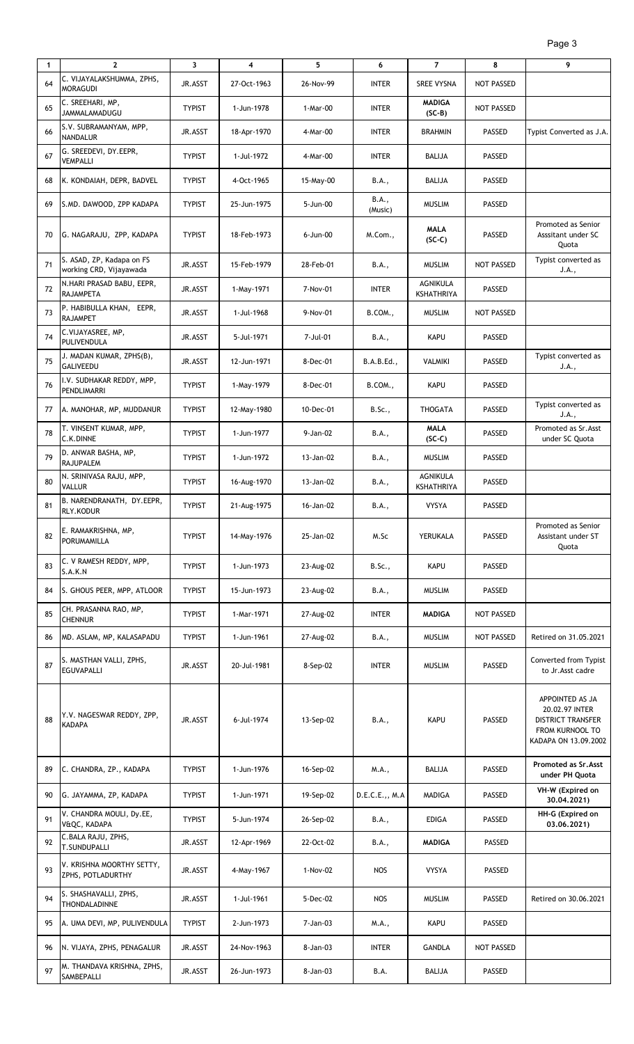| $\mathbf{1}$ | $\mathbf{2}$                                         | 3             | $\overline{\mathbf{4}}$ | 5         | 6                | $\overline{7}$                | 8                 | 9                                                                                                 |
|--------------|------------------------------------------------------|---------------|-------------------------|-----------|------------------|-------------------------------|-------------------|---------------------------------------------------------------------------------------------------|
| 64           | C. VIJAYALAKSHUMMA, ZPHS,<br><b>MORAGUDI</b>         | JR.ASST       | 27-Oct-1963             | 26-Nov-99 | <b>INTER</b>     | <b>SREE VYSNA</b>             | <b>NOT PASSED</b> |                                                                                                   |
| 65           | C. SREEHARI, MP,<br>JAMMALAMADUGU                    | <b>TYPIST</b> | 1-Jun-1978              | 1-Mar-00  | <b>INTER</b>     | <b>MADIGA</b><br>$(SC-B)$     | <b>NOT PASSED</b> |                                                                                                   |
| 66           | S.V. SUBRAMANYAM, MPP,<br><b>NANDALUR</b>            | JR.ASST       | 18-Apr-1970             | 4-Mar-00  | <b>INTER</b>     | <b>BRAHMIN</b>                | PASSED            | Typist Converted as J.A.                                                                          |
| 67           | G. SREEDEVI, DY.EEPR,<br><b>VEMPALLI</b>             | <b>TYPIST</b> | 1-Jul-1972              | 4-Mar-00  | <b>INTER</b>     | <b>BALIJA</b>                 | PASSED            |                                                                                                   |
| 68           | K. KONDAIAH, DEPR, BADVEL                            | <b>TYPIST</b> | 4-Oct-1965              | 15-May-00 | B.A.,            | <b>BALIJA</b>                 | PASSED            |                                                                                                   |
| 69           | S.MD. DAWOOD, ZPP KADAPA                             | <b>TYPIST</b> | 25-Jun-1975             | 5-Jun-00  | B.A.,<br>(Music) | <b>MUSLIM</b>                 | PASSED            |                                                                                                   |
| 70           | G. NAGARAJU, ZPP, KADAPA                             | <b>TYPIST</b> | 18-Feb-1973             | 6-Jun-00  | M.Com.,          | <b>MALA</b><br>$(SC-C)$       | PASSED            | Promoted as Senior<br>Asssitant under SC<br>Quota                                                 |
| 71           | S. ASAD, ZP, Kadapa on FS<br>working CRD, Vijayawada | JR.ASST       | 15-Feb-1979             | 28-Feb-01 | B.A.,            | <b>MUSLIM</b>                 | <b>NOT PASSED</b> | Typist converted as<br>J.A.,                                                                      |
| 72           | N.HARI PRASAD BABU, EEPR,<br><b>RAJAMPETA</b>        | JR.ASST       | 1-May-1971              | 7-Nov-01  | <b>INTER</b>     | <b>AGNIKULA</b><br>KSHATHRIYA | PASSED            |                                                                                                   |
| 73           | P. HABIBULLA KHAN, EEPR,<br><b>RAJAMPET</b>          | JR.ASST       | 1-Jul-1968              | 9-Nov-01  | B.COM.,          | <b>MUSLIM</b>                 | <b>NOT PASSED</b> |                                                                                                   |
| 74           | C.VIJAYASREE, MP,<br>PULIVENDULA                     | JR.ASST       | 5-Jul-1971              | 7-Jul-01  | B.A.,            | <b>KAPU</b>                   | PASSED            |                                                                                                   |
| 75           | J. MADAN KUMAR, ZPHS(B),<br><b>GALIVEEDU</b>         | JR.ASST       | 12-Jun-1971             | 8-Dec-01  | B.A.B.Ed.,       | <b>VALMIKI</b>                | PASSED            | Typist converted as<br>J.A.,                                                                      |
| 76           | I.V. SUDHAKAR REDDY, MPP,<br>PENDLIMARRI             | <b>TYPIST</b> | 1-May-1979              | 8-Dec-01  | B.COM.,          | <b>KAPU</b>                   | PASSED            |                                                                                                   |
| 77           | A. MANOHAR, MP, MUDDANUR                             | <b>TYPIST</b> | 12-May-1980             | 10-Dec-01 | B.Sc.,           | <b>THOGATA</b>                | PASSED            | Typist converted as<br>J.A.,                                                                      |
| 78           | T. VINSENT KUMAR, MPP,<br>C.K.DINNE                  | <b>TYPIST</b> | 1-Jun-1977              | 9-Jan-02  | B.A.,            | <b>MALA</b><br>$(SC-C)$       | PASSED            | Promoted as Sr.Asst<br>under SC Quota                                                             |
| 79           | D. ANWAR BASHA, MP,<br><b>RAJUPALEM</b>              | <b>TYPIST</b> | 1-Jun-1972              | 13-Jan-02 | B.A.,            | <b>MUSLIM</b>                 | PASSED            |                                                                                                   |
| 80           | N. SRINIVASA RAJU, MPP,<br><b>VALLUR</b>             | <b>TYPIST</b> | 16-Aug-1970             | 13-Jan-02 | B.A.,            | AGNIKULA<br><b>KSHATHRIYA</b> | PASSED            |                                                                                                   |
| 81           | B. NARENDRANATH, DY.EEPR,<br><b>RLY.KODUR</b>        | <b>TYPIST</b> | 21-Aug-1975             | 16-Jan-02 | B.A.,            | <b>VYSYA</b>                  | PASSED            |                                                                                                   |
| 82           | E. RAMAKRISHNA, MP,<br>PORUMAMILLA                   | <b>TYPIST</b> | 14-May-1976             | 25-Jan-02 | M.Sc             | YERUKALA                      | PASSED            | Promoted as Senior<br>Assistant under ST<br>Quota                                                 |
| 83           | C. V RAMESH REDDY, MPP,<br>S.A.K.N                   | <b>TYPIST</b> | 1-Jun-1973              | 23-Aug-02 | B.Sc.,           | <b>KAPU</b>                   | PASSED            |                                                                                                   |
| 84           | S. GHOUS PEER, MPP, ATLOOR                           | <b>TYPIST</b> | 15-Jun-1973             | 23-Aug-02 | B.A.,            | <b>MUSLIM</b>                 | <b>PASSED</b>     |                                                                                                   |
| 85           | CH. PRASANNA RAO, MP,<br><b>CHENNUR</b>              | <b>TYPIST</b> | 1-Mar-1971              | 27-Aug-02 | <b>INTER</b>     | <b>MADIGA</b>                 | NOT PASSED        |                                                                                                   |
| 86           | MD. ASLAM, MP, KALASAPADU                            | <b>TYPIST</b> | 1-Jun-1961              | 27-Aug-02 | B.A.,            | <b>MUSLIM</b>                 | <b>NOT PASSED</b> | Retired on 31.05.2021                                                                             |
| 87           | S. MASTHAN VALLI, ZPHS,<br><b>EGUVAPALLI</b>         | JR.ASST       | 20-Jul-1981             | 8-Sep-02  | <b>INTER</b>     | <b>MUSLIM</b>                 | PASSED            | Converted from Typist<br>to Jr. Asst cadre                                                        |
| 88           | Y.V. NAGESWAR REDDY, ZPP,<br><b>KADAPA</b>           | JR.ASST       | 6-Jul-1974              | 13-Sep-02 | B.A.,            | <b>KAPU</b>                   | PASSED            | APPOINTED AS JA<br>20.02.97 INTER<br>DISTRICT TRANSFER<br>FROM KURNOOL TO<br>KADAPA ON 13.09.2002 |
| 89           | C. CHANDRA, ZP., KADAPA                              | <b>TYPIST</b> | 1-Jun-1976              | 16-Sep-02 | M.A.,            | BALIJA                        | PASSED            | Promoted as Sr. Asst<br>under PH Quota                                                            |
| 90           | G. JAYAMMA, ZP, KADAPA                               | <b>TYPIST</b> | 1-Jun-1971              | 19-Sep-02 | D.E.C.E.,, M.A   | MADIGA                        | PASSED            | VH-W (Expired on<br>30.04.2021)                                                                   |
| 91           | V. CHANDRA MOULI, Dy.EE,<br>V&QC, KADAPA             | <b>TYPIST</b> | 5-Jun-1974              | 26-Sep-02 | B.A.,            | <b>EDIGA</b>                  | PASSED            | HH-G (Expired on<br>03.06.2021)                                                                   |
| 92           | C.BALA RAJU, ZPHS,<br>T.SUNDUPALLI                   | JR.ASST       | 12-Apr-1969             | 22-Oct-02 | B.A.,            | <b>MADIGA</b>                 | PASSED            |                                                                                                   |
| 93           | V. KRISHNA MOORTHY SETTY,<br>ZPHS, POTLADURTHY       | JR.ASST       | 4-May-1967              | 1-Nov-02  | NOS              | <b>VYSYA</b>                  | PASSED            |                                                                                                   |
| 94           | S. SHASHAVALLI, ZPHS,<br>THONDALADINNE               | JR.ASST       | 1-Jul-1961              | 5-Dec-02  | <b>NOS</b>       | <b>MUSLIM</b>                 | PASSED            | Retired on 30.06.2021                                                                             |
| 95           | A. UMA DEVI, MP, PULIVENDULA                         | <b>TYPIST</b> | 2-Jun-1973              | 7-Jan-03  | M.A.,            | <b>KAPU</b>                   | PASSED            |                                                                                                   |
| 96           | N. VIJAYA, ZPHS, PENAGALUR                           | JR.ASST       | 24-Nov-1963             | 8-Jan-03  | <b>INTER</b>     | <b>GANDLA</b>                 | <b>NOT PASSED</b> |                                                                                                   |
| 97           | M. THANDAVA KRISHNA, ZPHS,<br>SAMBEPALLI             | JR.ASST       | 26-Jun-1973             | 8-Jan-03  | B.A.             | BALIJA                        | <b>PASSED</b>     |                                                                                                   |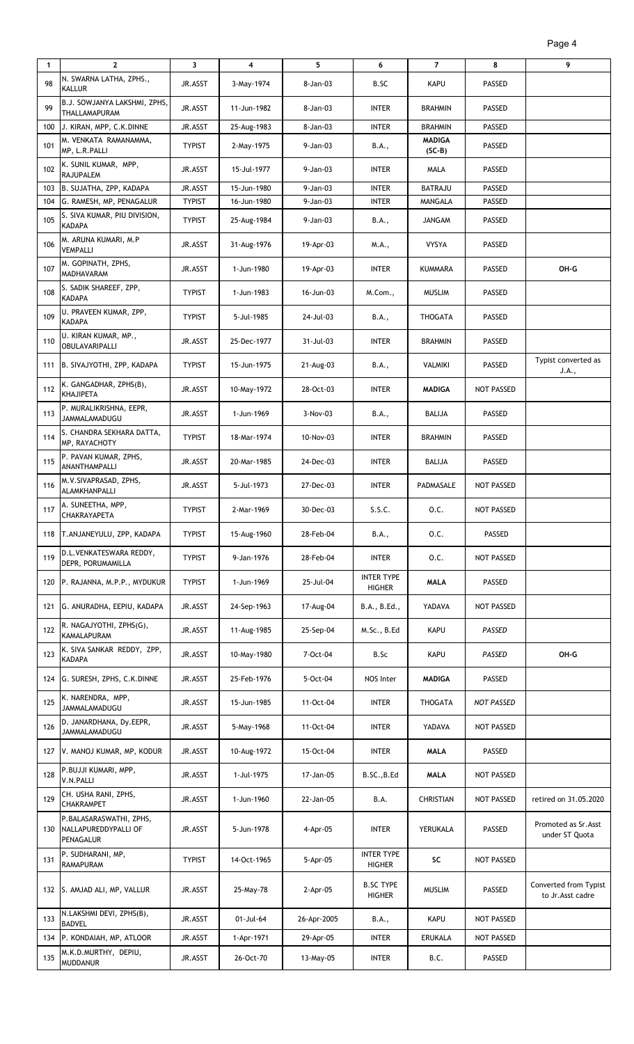| $\mathbf{1}$ | $\overline{2}$                                               | 3             | 4           | 5           | 6                                  | $\overline{7}$            | 8                 | 9                                         |
|--------------|--------------------------------------------------------------|---------------|-------------|-------------|------------------------------------|---------------------------|-------------------|-------------------------------------------|
| 98           | N. SWARNA LATHA, ZPHS.,<br>KALLUR                            | JR.ASST       | 3-May-1974  | 8-Jan-03    | B.SC                               | <b>KAPU</b>               | <b>PASSED</b>     |                                           |
| 99           | B.J. SOWJANYA LAKSHMI, ZPHS,<br>THALLAMAPURAM                | JR.ASST       | 11-Jun-1982 | 8-Jan-03    | <b>INTER</b>                       | <b>BRAHMIN</b>            | <b>PASSED</b>     |                                           |
| 100          | J. KIRAN, MPP, C.K.DINNE                                     | JR.ASST       | 25-Aug-1983 | 8-Jan-03    | <b>INTER</b>                       | <b>BRAHMIN</b>            | <b>PASSED</b>     |                                           |
| 101          | M. VENKATA RAMANAMMA,<br>MP, L.R.PALLI                       | <b>TYPIST</b> | 2-May-1975  | 9-Jan-03    | B.A.,                              | <b>MADIGA</b><br>$(SC-B)$ | <b>PASSED</b>     |                                           |
| 102          | K. SUNIL KUMAR, MPP,<br><b>RAJUPALEM</b>                     | JR.ASST       | 15-Jul-1977 | 9-Jan-03    | <b>INTER</b>                       | MALA                      | <b>PASSED</b>     |                                           |
| 103          | B. SUJATHA, ZPP, KADAPA                                      | JR.ASST       | 15-Jun-1980 | 9-Jan-03    | <b>INTER</b>                       | <b>BATRAJU</b>            | <b>PASSED</b>     |                                           |
| 104          | G. RAMESH, MP, PENAGALUR                                     | <b>TYPIST</b> | 16-Jun-1980 | 9-Jan-03    | <b>INTER</b>                       | MANGALA                   | PASSED            |                                           |
| 105          | S. SIVA KUMAR, PIU DIVISION,<br><b>KADAPA</b>                | <b>TYPIST</b> | 25-Aug-1984 | 9-Jan-03    | B.A.,                              | JANGAM                    | <b>PASSED</b>     |                                           |
| 106          | M. ARUNA KUMARI, M.P<br>VEMPALLI                             | JR.ASST       | 31-Aug-1976 | 19-Apr-03   | M.A.,                              | <b>VYSYA</b>              | <b>PASSED</b>     |                                           |
| 107          | M. GOPINATH, ZPHS,<br>MADHAVARAM                             | JR.ASST       | 1-Jun-1980  | 19-Apr-03   | <b>INTER</b>                       | KUMMARA                   | <b>PASSED</b>     | OH-G                                      |
| 108          | S. SADIK SHAREEF, ZPP,<br><b>KADAPA</b>                      | <b>TYPIST</b> | 1-Jun-1983  | 16-Jun-03   | M.Com.,                            | <b>MUSLIM</b>             | <b>PASSED</b>     |                                           |
| 109          | U. PRAVEEN KUMAR, ZPP,<br><b>KADAPA</b>                      | <b>TYPIST</b> | 5-Jul-1985  | 24-Jul-03   | B.A.,                              | THOGATA                   | PASSED            |                                           |
| 110          | U. KIRAN KUMAR, MP.,<br>OBULAVARIPALLI                       | JR.ASST       | 25-Dec-1977 | 31-Jul-03   | <b>INTER</b>                       | <b>BRAHMIN</b>            | <b>PASSED</b>     |                                           |
| 111          | B. SIVAJYOTHI, ZPP, KADAPA                                   | <b>TYPIST</b> | 15-Jun-1975 | 21-Aug-03   | B.A.,                              | VALMIKI                   | PASSED            | Typist converted as<br>J.A.,              |
| 112          | K. GANGADHAR, ZPHS(B),<br><b>KHAJIPETA</b>                   | JR.ASST       | 10-May-1972 | 28-Oct-03   | <b>INTER</b>                       | <b>MADIGA</b>             | <b>NOT PASSED</b> |                                           |
| 113          | P. MURALIKRISHNA, EEPR,<br>JAMMALAMADUGU                     | JR.ASST       | 1-Jun-1969  | 3-Nov-03    | B.A.,                              | <b>BALIJA</b>             | PASSED            |                                           |
| 114          | S. CHANDRA SEKHARA DATTA,<br>MP, RAYACHOTY                   | <b>TYPIST</b> | 18-Mar-1974 | 10-Nov-03   | <b>INTER</b>                       | <b>BRAHMIN</b>            | <b>PASSED</b>     |                                           |
| 115          | P. PAVAN KUMAR, ZPHS,<br>ANANTHAMPALLI                       | JR.ASST       | 20-Mar-1985 | 24-Dec-03   | <b>INTER</b>                       | BALIJA                    | PASSED            |                                           |
| 116          | M.V.SIVAPRASAD, ZPHS,<br>ALAMKHANPALLI                       | JR.ASST       | 5-Jul-1973  | 27-Dec-03   | <b>INTER</b>                       | PADMASALE                 | NOT PASSED        |                                           |
| 117          | A. SUNEETHA, MPP,<br>CHAKRAYAPETA                            | <b>TYPIST</b> | 2-Mar-1969  | 30-Dec-03   | S.S.C.                             | 0.C.                      | NOT PASSED        |                                           |
| 118          | T.ANJANEYULU, ZPP, KADAPA                                    | <b>TYPIST</b> | 15-Aug-1960 | 28-Feb-04   | B.A.,                              | 0.C.                      | <b>PASSED</b>     |                                           |
| 119          | D.L.VENKATESWARA REDDY,<br>DEPR. PORUMAMILLA                 | <b>TYPIST</b> | 9-Jan-1976  | 28-Feb-04   | <b>INTER</b>                       | 0.C.                      | NOT PASSED        |                                           |
| 120          | P. RAJANNA, M.P.P., MYDUKUR                                  | <b>TYPIST</b> | 1-Jun-1969  | 25-Jul-04   | <b>INTER TYPE</b><br><b>HIGHER</b> | <b>MALA</b>               | <b>PASSED</b>     |                                           |
| 121          | G. ANURADHA, EEPIU, KADAPA                                   | JR.ASST       | 24-Sep-1963 | 17-Aug-04   | B.A., B.Ed.,                       | YADAVA                    | NOT PASSED        |                                           |
| 122          | R. NAGAJYOTHI, ZPHS(G),<br><b>KAMALAPURAM</b>                | JR.ASST       | 11-Aug-1985 | 25-Sep-04   | M.Sc., B.Ed                        | <b>KAPU</b>               | PASSED            |                                           |
| 123          | K. SIVA SANKAR REDDY, ZPP,<br><b>KADAPA</b>                  | JR.ASST       | 10-May-1980 | 7-Oct-04    | B.Sc                               | <b>KAPU</b>               | PASSED            | OH-G                                      |
| 124          | G. SURESH, ZPHS, C.K.DINNE                                   | JR.ASST       | 25-Feb-1976 | 5-Oct-04    | NOS Inter                          | <b>MADIGA</b>             | <b>PASSED</b>     |                                           |
| 125          | K. NARENDRA, MPP,<br>JAMMALAMADUGU                           | JR.ASST       | 15-Jun-1985 | 11-Oct-04   | <b>INTER</b>                       | THOGATA                   | NOT PASSED        |                                           |
| 126          | D. JANARDHANA, Dy.EEPR,<br>JAMMALAMADUGU                     | JR.ASST       | 5-May-1968  | 11-Oct-04   | <b>INTER</b>                       | YADAVA                    | NOT PASSED        |                                           |
| 127          | V. MANOJ KUMAR, MP, KODUR                                    | JR.ASST       | 10-Aug-1972 | 15-Oct-04   | <b>INTER</b>                       | <b>MALA</b>               | <b>PASSED</b>     |                                           |
| 128          | P.BUJJI KUMARI, MPP,<br>V.N.PALLI                            | JR.ASST       | 1-Jul-1975  | 17-Jan-05   | B.SC., B.Ed                        | <b>MALA</b>               | NOT PASSED        |                                           |
| 129          | CH. USHA RANI, ZPHS,<br><b>CHAKRAMPET</b>                    | JR.ASST       | 1-Jun-1960  | 22-Jan-05   | B.A.                               | <b>CHRISTIAN</b>          | <b>NOT PASSED</b> | retired on 31.05.2020                     |
| 130          | P.BALASARASWATHI, ZPHS,<br>NALLAPUREDDYPALLI OF<br>PENAGALUR | JR.ASST       | 5-Jun-1978  | 4-Apr-05    | <b>INTER</b>                       | YERUKALA                  | <b>PASSED</b>     | Promoted as Sr.Asst<br>under ST Quota     |
| 131          | P. SUDHARANI, MP,<br><b>RAMAPURAM</b>                        | <b>TYPIST</b> | 14-Oct-1965 | 5-Apr-05    | <b>INTER TYPE</b><br><b>HIGHER</b> | SC                        | <b>NOT PASSED</b> |                                           |
| 132          | S. AMJAD ALI, MP, VALLUR                                     | JR.ASST       | 25-May-78   | $2-Apr-05$  | <b>B.SC TYPE</b><br><b>HIGHER</b>  | <b>MUSLIM</b>             | <b>PASSED</b>     | Converted from Typist<br>to Jr.Asst cadre |
| 133          | N.LAKSHMI DEVI, ZPHS(B),<br><b>BADVEL</b>                    | JR.ASST       | 01-Jul-64   | 26-Apr-2005 | B.A.,                              | <b>KAPU</b>               | NOT PASSED        |                                           |
| 134          | P. KONDAIAH, MP, ATLOOR                                      | JR.ASST       | 1-Apr-1971  | 29-Apr-05   | <b>INTER</b>                       | <b>ERUKALA</b>            | <b>NOT PASSED</b> |                                           |
| 135          | M.K.D.MURTHY, DEPIU,<br><b>MUDDANUR</b>                      | JR.ASST       | 26-Oct-70   | 13-May-05   | <b>INTER</b>                       | B.C.                      | <b>PASSED</b>     |                                           |

Page 4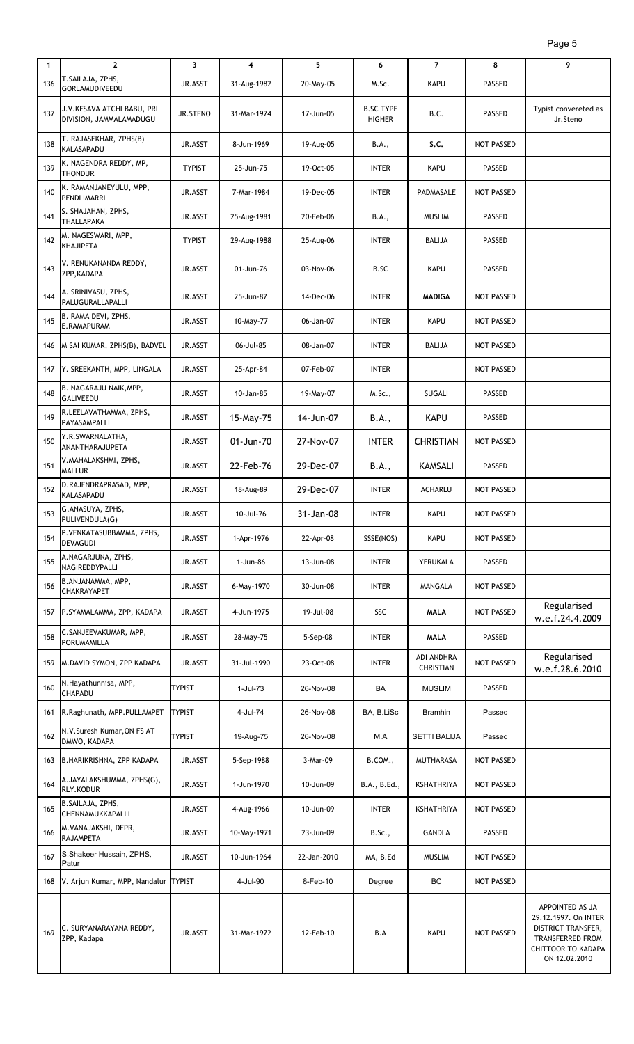| 1   | $\mathbf{2}$                                          | 3             | 4           | 5           | 6                                 | $\overline{7}$                 | 8                 | 9                                                                                                                                      |
|-----|-------------------------------------------------------|---------------|-------------|-------------|-----------------------------------|--------------------------------|-------------------|----------------------------------------------------------------------------------------------------------------------------------------|
| 136 | T.SAILAJA, ZPHS,<br><b>GORLAMUDIVEEDU</b>             | JR.ASST       | 31-Aug-1982 | 20-May-05   | M.Sc.                             | <b>KAPU</b>                    | PASSED            |                                                                                                                                        |
| 137 | J.V.KESAVA ATCHI BABU, PRI<br>DIVISION, JAMMALAMADUGU | JR.STENO      | 31-Mar-1974 | 17-Jun-05   | <b>B.SC TYPE</b><br><b>HIGHER</b> | B.C.                           | PASSED            | Typist convereted as<br>Jr.Steno                                                                                                       |
| 138 | T. RAJASEKHAR, ZPHS(B)<br><b>KALASAPADU</b>           | JR.ASST       | 8-Jun-1969  | 19-Aug-05   | B.A.,                             | s.c.                           | <b>NOT PASSED</b> |                                                                                                                                        |
| 139 | K. NAGENDRA REDDY, MP,<br><b>THONDUR</b>              | <b>TYPIST</b> | 25-Jun-75   | 19-Oct-05   | <b>INTER</b>                      | <b>KAPU</b>                    | PASSED            |                                                                                                                                        |
| 140 | K. RAMANJANEYULU, MPP,<br>PENDLIMARRI                 | JR.ASST       | 7-Mar-1984  | 19-Dec-05   | <b>INTER</b>                      | PADMASALE                      | <b>NOT PASSED</b> |                                                                                                                                        |
| 141 | S. SHAJAHAN, ZPHS,<br><b>THALLAPAKA</b>               | JR.ASST       | 25-Aug-1981 | 20-Feb-06   | B.A.,                             | <b>MUSLIM</b>                  | PASSED            |                                                                                                                                        |
| 142 | M. NAGESWARI, MPP,<br><b>KHAJIPETA</b>                | <b>TYPIST</b> | 29-Aug-1988 | 25-Aug-06   | <b>INTER</b>                      | <b>BALIJA</b>                  | PASSED            |                                                                                                                                        |
| 143 | V. RENUKANANDA REDDY,<br>ZPP, KADAPA                  | JR.ASST       | 01-Jun-76   | 03-Nov-06   | B.SC                              | <b>KAPU</b>                    | PASSED            |                                                                                                                                        |
| 144 | A. SRINIVASU, ZPHS,<br>PALUGURALLAPALLI               | JR.ASST       | 25-Jun-87   | 14-Dec-06   | <b>INTER</b>                      | <b>MADIGA</b>                  | NOT PASSED        |                                                                                                                                        |
| 145 | B. RAMA DEVI, ZPHS,<br>E.RAMAPURAM                    | JR.ASST       | 10-May-77   | 06-Jan-07   | <b>INTER</b>                      | <b>KAPU</b>                    | NOT PASSED        |                                                                                                                                        |
| 146 | M SAI KUMAR, ZPHS(B), BADVEL                          | JR.ASST       | 06-Jul-85   | 08-Jan-07   | <b>INTER</b>                      | <b>BALIJA</b>                  | NOT PASSED        |                                                                                                                                        |
| 147 | Y. SREEKANTH, MPP, LINGALA                            | JR.ASST       | 25-Apr-84   | 07-Feb-07   | <b>INTER</b>                      |                                | NOT PASSED        |                                                                                                                                        |
| 148 | B. NAGARAJU NAIK, MPP,<br><b>GALIVEEDU</b>            | JR.ASST       | 10-Jan-85   | 19-May-07   | M.Sc.,                            | SUGALI                         | PASSED            |                                                                                                                                        |
| 149 | R.LEELAVATHAMMA, ZPHS,<br>PAYASAMPALLI                | JR.ASST       | 15-May-75   | 14-Jun-07   | B.A.,                             | <b>KAPU</b>                    | PASSED            |                                                                                                                                        |
| 150 | Y.R.SWARNALATHA,<br>ANANTHARAJUPETA                   | JR.ASST       | 01-Jun-70   | 27-Nov-07   | <b>INTER</b>                      | <b>CHRISTIAN</b>               | NOT PASSED        |                                                                                                                                        |
| 151 | V.MAHALAKSHMI, ZPHS,<br><b>MALLUR</b>                 | JR.ASST       | 22-Feb-76   | 29-Dec-07   | B.A.,                             | <b>KAMSALI</b>                 | PASSED            |                                                                                                                                        |
| 152 | D.RAJENDRAPRASAD, MPP,<br><b>KALASAPADU</b>           | JR.ASST       | 18-Aug-89   | 29-Dec-07   | <b>INTER</b>                      | <b>ACHARLU</b>                 | NOT PASSED        |                                                                                                                                        |
| 153 | G.ANASUYA, ZPHS,<br>PULIVENDULA(G)                    | JR.ASST       | 10-Jul-76   | 31-Jan-08   | <b>INTER</b>                      | <b>KAPU</b>                    | NOT PASSED        |                                                                                                                                        |
| 154 | P.VENKATASUBBAMMA, ZPHS,<br><b>DEVAGUDI</b>           | JR.ASST       | 1-Apr-1976  | 22-Apr-08   | SSSE(NOS)                         | <b>KAPU</b>                    | NOT PASSED        |                                                                                                                                        |
| 155 | A.NAGARJUNA, ZPHS,<br>NAGIREDDYPALLI                  | JR.ASST       | 1-Jun-86    | 13-Jun-08   | <b>INTER</b>                      | YERUKALA                       | PASSED            |                                                                                                                                        |
| 156 | B.ANJANAMMA, MPP,<br><b>CHAKRAYAPET</b>               | JR.ASST       | 6-May-1970  | 30-Jun-08   | <b>INTER</b>                      | MANGALA                        | NOT PASSED        |                                                                                                                                        |
|     | 157 P.SYAMALAMMA, ZPP, KADAPA                         | JR.ASST       | 4-Jun-1975  | 19-Jul-08   | SSC                               | <b>MALA</b>                    | NOT PASSED        | Regularised<br>w.e.f.24.4.2009                                                                                                         |
| 158 | C.SANJEEVAKUMAR, MPP,<br>PORUMAMILLA                  | JR.ASST       | 28-May-75   | 5-Sep-08    | <b>INTER</b>                      | <b>MALA</b>                    | PASSED            |                                                                                                                                        |
|     | 159 M.DAVID SYMON, ZPP KADAPA                         | JR.ASST       | 31-Jul-1990 | 23-Oct-08   | <b>INTER</b>                      | ADI ANDHRA<br><b>CHRISTIAN</b> | NOT PASSED        | Regularised<br>w.e.f.28.6.2010                                                                                                         |
| 160 | N.Hayathunnisa, MPP,<br>CHAPADU                       | <b>TYPIST</b> | 1-Jul-73    | 26-Nov-08   | BA                                | <b>MUSLIM</b>                  | PASSED            |                                                                                                                                        |
| 161 | R.Raghunath, MPP.PULLAMPET                            | <b>TYPIST</b> | 4-Jul-74    | 26-Nov-08   | BA, B.LiSc                        | <b>Bramhin</b>                 | Passed            |                                                                                                                                        |
| 162 | N.V.Suresh Kumar, ON FS AT<br>DMWO, KADAPA            | <b>TYPIST</b> | 19-Aug-75   | 26-Nov-08   | M.A                               | <b>SETTI BALIJA</b>            | Passed            |                                                                                                                                        |
|     | 163 B.HARIKRISHNA, ZPP KADAPA                         | JR.ASST       | 5-Sep-1988  | 3-Mar-09    | B.COM.,                           | <b>MUTHARASA</b>               | NOT PASSED        |                                                                                                                                        |
| 164 | A.JAYALAKSHUMMA, ZPHS(G),<br><b>RLY.KODUR</b>         | JR.ASST       | 1-Jun-1970  | 10-Jun-09   | B.A., B.Ed.,                      | KSHATHRIYA                     | <b>NOT PASSED</b> |                                                                                                                                        |
| 165 | B.SAILAJA, ZPHS,<br>CHENNAMUKKAPALLI                  | JR.ASST       | 4-Aug-1966  | 10-Jun-09   | <b>INTER</b>                      | KSHATHRIYA                     | NOT PASSED        |                                                                                                                                        |
| 166 | M. VANAJAKSHI, DEPR,<br><b>RAJAMPETA</b>              | JR.ASST       | 10-May-1971 | 23-Jun-09   | <b>B.Sc.,</b>                     | <b>GANDLA</b>                  | PASSED            |                                                                                                                                        |
| 167 | S.Shakeer Hussain, ZPHS,<br>Patur                     | JR.ASST       | 10-Jun-1964 | 22-Jan-2010 | MA, B.Ed                          | <b>MUSLIM</b>                  | NOT PASSED        |                                                                                                                                        |
| 168 | V. Arjun Kumar, MPP, Nandalur                         | <b>TYPIST</b> | 4-Jul-90    | 8-Feb-10    | Degree                            | ВC                             | <b>NOT PASSED</b> |                                                                                                                                        |
| 169 | C. SURYANARAYANA REDDY,<br>ZPP, Kadapa                | JR.ASST       | 31-Mar-1972 | 12-Feb-10   | B.A                               | <b>KAPU</b>                    | <b>NOT PASSED</b> | APPOINTED AS JA<br>29.12.1997. On INTER<br>DISTRICT TRANSFER,<br><b>TRANSFERRED FROM</b><br><b>CHITTOOR TO KADAPA</b><br>ON 12.02.2010 |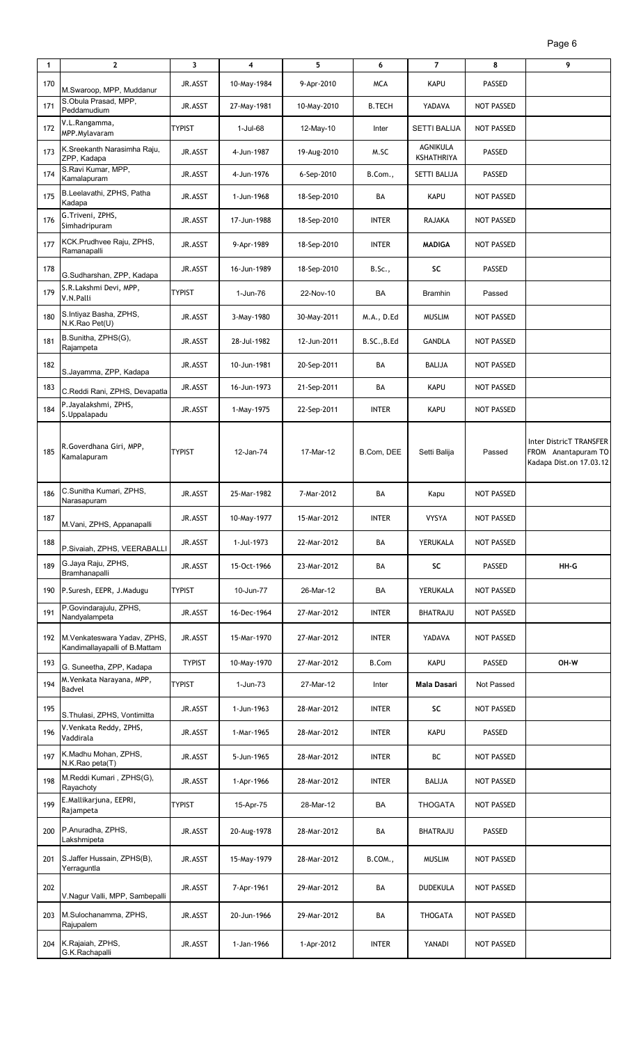| 1   | $\mathbf{2}$                                                 | 3             | 4           | 5           | 6             | $\overline{7}$         | 8                 | 9                                                                         |
|-----|--------------------------------------------------------------|---------------|-------------|-------------|---------------|------------------------|-------------------|---------------------------------------------------------------------------|
| 170 | M.Swaroop, MPP, Muddanur                                     | JR.ASST       | 10-May-1984 | 9-Apr-2010  | <b>MCA</b>    | <b>KAPU</b>            | PASSED            |                                                                           |
| 171 | S.Obula Prasad, MPP,<br>Peddamudium                          | JR.ASST       | 27-May-1981 | 10-May-2010 | <b>B.TECH</b> | YADAVA                 | NOT PASSED        |                                                                           |
| 172 | V.L.Rangamma,<br>MPP.Mylavaram                               | <b>TYPIST</b> | 1-Jul-68    | 12-May-10   | Inter         | <b>SETTI BALIJA</b>    | <b>NOT PASSED</b> |                                                                           |
| 173 | K.Sreekanth Narasimha Raju,<br>ZPP, Kadapa                   | JR.ASST       | 4-Jun-1987  | 19-Aug-2010 | M.SC          | AGNIKULA<br>KSHATHRIYA | PASSED            |                                                                           |
| 174 | S.Ravi Kumar, MPP,<br>Kamalapuram                            | JR.ASST       | 4-Jun-1976  | 6-Sep-2010  | B.Com.,       | SETTI BALIJA           | <b>PASSED</b>     |                                                                           |
| 175 | B.Leelavathi, ZPHS, Patha<br>Kadapa                          | JR.ASST       | 1-Jun-1968  | 18-Sep-2010 | BA            | KAPU                   | NOT PASSED        |                                                                           |
| 176 | G.Triveni, ZPHS,<br>Simhadripuram                            | JR.ASST       | 17-Jun-1988 | 18-Sep-2010 | <b>INTER</b>  | RAJAKA                 | NOT PASSED        |                                                                           |
| 177 | KCK.Prudhvee Raju, ZPHS,<br>Ramanapalli                      | JR.ASST       | 9-Apr-1989  | 18-Sep-2010 | <b>INTER</b>  | <b>MADIGA</b>          | NOT PASSED        |                                                                           |
| 178 | G.Sudharshan, ZPP, Kadapa                                    | JR.ASST       | 16-Jun-1989 | 18-Sep-2010 | <b>B.Sc.,</b> | SC                     | PASSED            |                                                                           |
| 179 | S.R.Lakshmi Devi, MPP,<br>V.N.Palli                          | <b>TYPIST</b> | 1-Jun-76    | 22-Nov-10   | BA            | <b>Bramhin</b>         | Passed            |                                                                           |
| 180 | S.Intiyaz Basha, ZPHS,<br>N.K.Rao Pet(U)                     | JR.ASST       | 3-May-1980  | 30-May-2011 | M.A., D.Ed    | <b>MUSLIM</b>          | NOT PASSED        |                                                                           |
| 181 | B.Sunitha, ZPHS(G),<br>Rajampeta                             | JR.ASST       | 28-Jul-1982 | 12-Jun-2011 | B.SC., B.Ed   | <b>GANDLA</b>          | <b>NOT PASSED</b> |                                                                           |
| 182 | S.Jayamma, ZPP, Kadapa                                       | JR.ASST       | 10-Jun-1981 | 20-Sep-2011 | BA            | <b>BALIJA</b>          | NOT PASSED        |                                                                           |
| 183 | C.Reddi Rani, ZPHS, Devapatla                                | JR.ASST       | 16-Jun-1973 | 21-Sep-2011 | BA            | <b>KAPU</b>            | NOT PASSED        |                                                                           |
| 184 | P.Jayalakshmi, ZPHS,<br>S.Uppalapadu                         | JR.ASST       | 1-May-1975  | 22-Sep-2011 | <b>INTER</b>  | <b>KAPU</b>            | NOT PASSED        |                                                                           |
| 185 | R.Goverdhana Giri, MPP,<br>Kamalapuram                       | <b>TYPIST</b> | 12-Jan-74   | 17-Mar-12   | B.Com, DEE    | Setti Balija           | Passed            | Inter DistricT TRANSFER<br>FROM Anantapuram TO<br>Kadapa Dist.on 17.03.12 |
| 186 | C.Sunitha Kumari, ZPHS,<br>Narasapuram                       | JR.ASST       | 25-Mar-1982 | 7-Mar-2012  | BA            | Kapu                   | NOT PASSED        |                                                                           |
| 187 | M.Vani, ZPHS, Appanapalli                                    | JR.ASST       | 10-May-1977 | 15-Mar-2012 | <b>INTER</b>  | <b>VYSYA</b>           | NOT PASSED        |                                                                           |
| 188 | P.Sivaiah, ZPHS, VEERABALLI                                  | JR.ASST       | 1-Jul-1973  | 22-Mar-2012 | BA            | YERUKALA               | NOT PASSED        |                                                                           |
| 189 | G.Jaya Raju, ZPHS,<br>Bramhanapalli                          | JR.ASST       | 15-Oct-1966 | 23-Mar-2012 | BA            | SC                     | PASSED            | HH-G                                                                      |
| 190 | P.Suresh, EEPR, J.Madugu                                     | <b>TYPIST</b> | 10-Jun-77   | 26-Mar-12   | BA            | YERUKALA               | NOT PASSED        |                                                                           |
| 191 | P.Govindarajulu, ZPHS,<br>Nandyalampeta                      | JR.ASST       | 16-Dec-1964 | 27-Mar-2012 | <b>INTER</b>  | BHATRAJU               | NOT PASSED        |                                                                           |
| 192 | M.Venkateswara Yadav, ZPHS,<br>Kandimallayapalli of B.Mattam | JR.ASST       | 15-Mar-1970 | 27-Mar-2012 | <b>INTER</b>  | YADAVA                 | NOT PASSED        |                                                                           |
| 193 | G. Suneetha, ZPP, Kadapa                                     | <b>TYPIST</b> | 10-May-1970 | 27-Mar-2012 | <b>B.Com</b>  | KAPU                   | PASSED            | OH-W                                                                      |
| 194 | M.Venkata Narayana, MPP,<br>Badvel                           | <b>TYPIST</b> | 1-Jun-73    | 27-Mar-12   | Inter         | Mala Dasari            | Not Passed        |                                                                           |
| 195 | S. Thulasi, ZPHS, Vontimitta                                 | JR.ASST       | 1-Jun-1963  | 28-Mar-2012 | <b>INTER</b>  | SC                     | NOT PASSED        |                                                                           |
| 196 | V.Venkata Reddy, ZPHS,<br>Vaddirala                          | JR.ASST       | 1-Mar-1965  | 28-Mar-2012 | <b>INTER</b>  | <b>KAPU</b>            | PASSED            |                                                                           |
| 197 | K.Madhu Mohan, ZPHS,<br>N.K.Rao peta(T)                      | JR.ASST       | 5-Jun-1965  | 28-Mar-2012 | <b>INTER</b>  | ВC                     | NOT PASSED        |                                                                           |
| 198 | M.Reddi Kumari, ZPHS(G),<br>Rayachoty                        | JR.ASST       | 1-Apr-1966  | 28-Mar-2012 | <b>INTER</b>  | <b>BALIJA</b>          | NOT PASSED        |                                                                           |
| 199 | E.Mallikarjuna, EEPRI,<br>Rajampeta                          | <b>TYPIST</b> | 15-Apr-75   | 28-Mar-12   | BA            | <b>THOGATA</b>         | NOT PASSED        |                                                                           |
| 200 | P.Anuradha, ZPHS,<br>Lakshmipeta                             | JR.ASST       | 20-Aug-1978 | 28-Mar-2012 | BA            | BHATRAJU               | PASSED            |                                                                           |
| 201 | S.Jaffer Hussain, ZPHS(B),<br>Yerraguntla                    | JR.ASST       | 15-May-1979 | 28-Mar-2012 | B.COM.,       | <b>MUSLIM</b>          | NOT PASSED        |                                                                           |
| 202 | V.Nagur Valli, MPP, Sambepalli                               | JR.ASST       | 7-Apr-1961  | 29-Mar-2012 | BA            | <b>DUDEKULA</b>        | NOT PASSED        |                                                                           |
| 203 | M.Sulochanamma, ZPHS,<br>Rajupalem                           | JR.ASST       | 20-Jun-1966 | 29-Mar-2012 | BA            | <b>THOGATA</b>         | NOT PASSED        |                                                                           |
| 204 | K.Rajaiah, ZPHS,<br>G.K.Rachapalli                           | JR.ASST       | 1-Jan-1966  | 1-Apr-2012  | <b>INTER</b>  | YANADI                 | NOT PASSED        |                                                                           |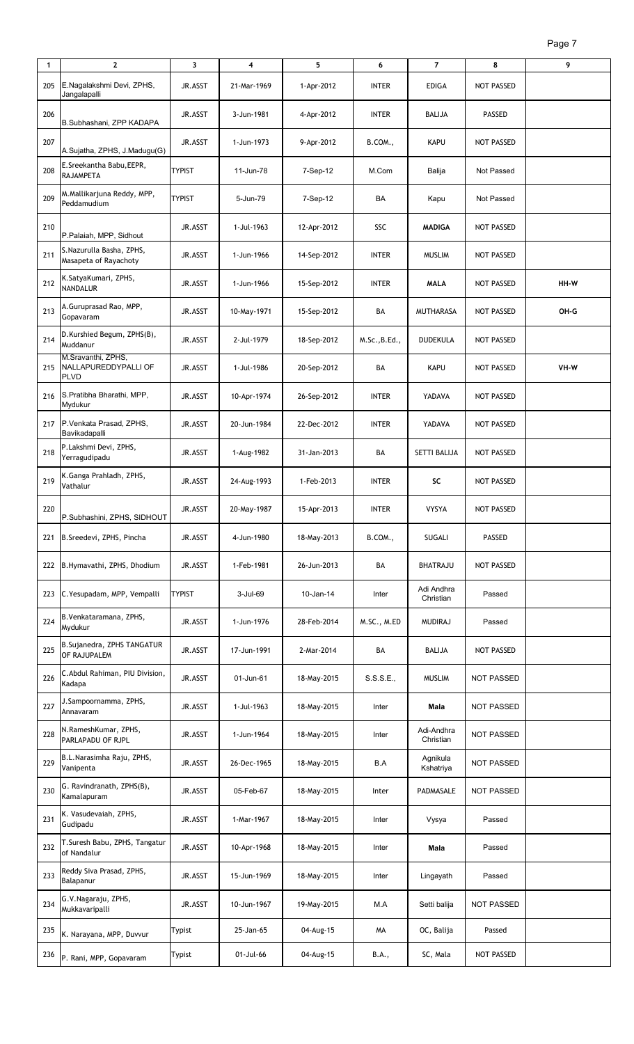| 1   | $\mathbf{2}$                                              | 3             | 4           | 5           | 6             | $\overline{7}$          | 8                 | 9    |
|-----|-----------------------------------------------------------|---------------|-------------|-------------|---------------|-------------------------|-------------------|------|
| 205 | E.Nagalakshmi Devi, ZPHS,<br>Jangalapalli                 | JR.ASST       | 21-Mar-1969 | 1-Apr-2012  | <b>INTER</b>  | <b>EDIGA</b>            | <b>NOT PASSED</b> |      |
| 206 | B.Subhashani, ZPP KADAPA                                  | JR.ASST       | 3-Jun-1981  | 4-Apr-2012  | <b>INTER</b>  | BALIJA                  | PASSED            |      |
| 207 | A.Sujatha, ZPHS, J.Madugu(G)                              | JR.ASST       | 1-Jun-1973  | 9-Apr-2012  | B.COM.,       | <b>KAPU</b>             | NOT PASSED        |      |
| 208 | E.Sreekantha Babu, EEPR,<br>RAJAMPETA                     | <b>TYPIST</b> | 11-Jun-78   | 7-Sep-12    | M.Com         | Balija                  | Not Passed        |      |
| 209 | M.Mallikarjuna Reddy, MPP,<br>Peddamudium                 | <b>TYPIST</b> | 5-Jun-79    | 7-Sep-12    | BA            | Kapu                    | Not Passed        |      |
| 210 | P.Palaiah, MPP, Sidhout                                   | JR.ASST       | 1-Jul-1963  | 12-Apr-2012 | SSC           | <b>MADIGA</b>           | <b>NOT PASSED</b> |      |
| 211 | S.Nazurulla Basha, ZPHS,<br>Masapeta of Rayachoty         | JR.ASST       | 1-Jun-1966  | 14-Sep-2012 | <b>INTER</b>  | <b>MUSLIM</b>           | <b>NOT PASSED</b> |      |
| 212 | K.SatyaKumari, ZPHS,<br><b>NANDALUR</b>                   | JR.ASST       | 1-Jun-1966  | 15-Sep-2012 | <b>INTER</b>  | <b>MALA</b>             | <b>NOT PASSED</b> | HH-W |
| 213 | A.Guruprasad Rao, MPP,<br>Gopavaram                       | JR.ASST       | 10-May-1971 | 15-Sep-2012 | BA            | <b>MUTHARASA</b>        | NOT PASSED        | OH-G |
| 214 | D.Kurshied Begum, ZPHS(B),<br>Muddanur                    | JR.ASST       | 2-Jul-1979  | 18-Sep-2012 | M.Sc., B.Ed., | <b>DUDEKULA</b>         | <b>NOT PASSED</b> |      |
| 215 | M.Sravanthi, ZPHS,<br>NALLAPUREDDYPALLI OF<br><b>PLVD</b> | JR.ASST       | 1-Jul-1986  | 20-Sep-2012 | BA            | KAPU                    | <b>NOT PASSED</b> | VH-W |
| 216 | S.Pratibha Bharathi, MPP,<br>Mydukur                      | JR.ASST       | 10-Apr-1974 | 26-Sep-2012 | <b>INTER</b>  | YADAVA                  | <b>NOT PASSED</b> |      |
| 217 | P.Venkata Prasad, ZPHS,<br>Bavikadapalli                  | JR.ASST       | 20-Jun-1984 | 22-Dec-2012 | <b>INTER</b>  | YADAVA                  | <b>NOT PASSED</b> |      |
| 218 | P.Lakshmi Devi, ZPHS,<br>Yerragudipadu                    | JR.ASST       | 1-Aug-1982  | 31-Jan-2013 | BA            | SETTI BALIJA            | <b>NOT PASSED</b> |      |
| 219 | K.Ganga Prahladh, ZPHS,<br>Vathalur                       | JR.ASST       | 24-Aug-1993 | 1-Feb-2013  | <b>INTER</b>  | SC                      | NOT PASSED        |      |
| 220 | P.Subhashini, ZPHS, SIDHOUT                               | JR.ASST       | 20-May-1987 | 15-Apr-2013 | <b>INTER</b>  | <b>VYSYA</b>            | NOT PASSED        |      |
| 221 | B.Sreedevi, ZPHS, Pincha                                  | JR.ASST       | 4-Jun-1980  | 18-May-2013 | B.COM.,       | SUGALI                  | PASSED            |      |
| 222 | B.Hymavathi, ZPHS, Dhodium                                | JR.ASST       | 1-Feb-1981  | 26-Jun-2013 | BA            | <b>BHATRAJU</b>         | NOT PASSED        |      |
| 223 | C. Yesupadam, MPP, Vempalli                               | <b>TYPIST</b> | 3-Jul-69    | 10-Jan-14   | Inter         | Adi Andhra<br>Christian | Passed            |      |
| 224 | B. Venkataramana, ZPHS,<br>Mydukur                        | JR.ASST       | 1-Jun-1976  | 28-Feb-2014 | M.SC., M.ED   | <b>MUDIRAJ</b>          | Passed            |      |
| 225 | B.Sujanedra, ZPHS TANGATUR<br>OF RAJUPALEM                | JR.ASST       | 17-Jun-1991 | 2-Mar-2014  | BA            | <b>BALIJA</b>           | <b>NOT PASSED</b> |      |
| 226 | C. Abdul Rahiman, PIU Division,<br>Kadapa                 | JR.ASST       | 01-Jun-61   | 18-May-2015 | S.S.S.E.,     | <b>MUSLIM</b>           | <b>NOT PASSED</b> |      |
| 227 | J.Sampoornamma, ZPHS,<br>Annavaram                        | JR.ASST       | 1-Jul-1963  | 18-May-2015 | Inter         | Mala                    | <b>NOT PASSED</b> |      |
| 228 | N.RameshKumar, ZPHS,<br>PARLAPADU OF RJPL                 | JR.ASST       | 1-Jun-1964  | 18-May-2015 | Inter         | Adi-Andhra<br>Christian | NOT PASSED        |      |
| 229 | B.L.Narasimha Raju, ZPHS,<br>Vanipenta                    | JR.ASST       | 26-Dec-1965 | 18-May-2015 | B.A           | Agnikula<br>Kshatriya   | <b>NOT PASSED</b> |      |
| 230 | G. Ravindranath, ZPHS(B),<br>Kamalapuram                  | JR.ASST       | 05-Feb-67   | 18-May-2015 | Inter         | PADMASALE               | <b>NOT PASSED</b> |      |
| 231 | K. Vasudevaiah, ZPHS,<br>Gudipadu                         | JR.ASST       | 1-Mar-1967  | 18-May-2015 | Inter         | Vysya                   | Passed            |      |
| 232 | T.Suresh Babu, ZPHS, Tangatur<br>of Nandalur              | JR.ASST       | 10-Apr-1968 | 18-May-2015 | Inter         | Mala                    | Passed            |      |
| 233 | Reddy Siva Prasad, ZPHS,<br>Balapanur                     | JR.ASST       | 15-Jun-1969 | 18-May-2015 | Inter         | Lingayath               | Passed            |      |
| 234 | G.V.Nagaraju, ZPHS,<br>Mukkavaripalli                     | JR.ASST       | 10-Jun-1967 | 19-May-2015 | M.A           | Setti balija            | <b>NOT PASSED</b> |      |
| 235 | K. Narayana, MPP, Duvvur                                  | Typist        | 25-Jan-65   | 04-Aug-15   | MА            | OC, Balija              | Passed            |      |
| 236 | P. Rani, MPP, Gopavaram                                   | Typist        | 01-Jul-66   | 04-Aug-15   | B.A.,         | SC, Mala                | <b>NOT PASSED</b> |      |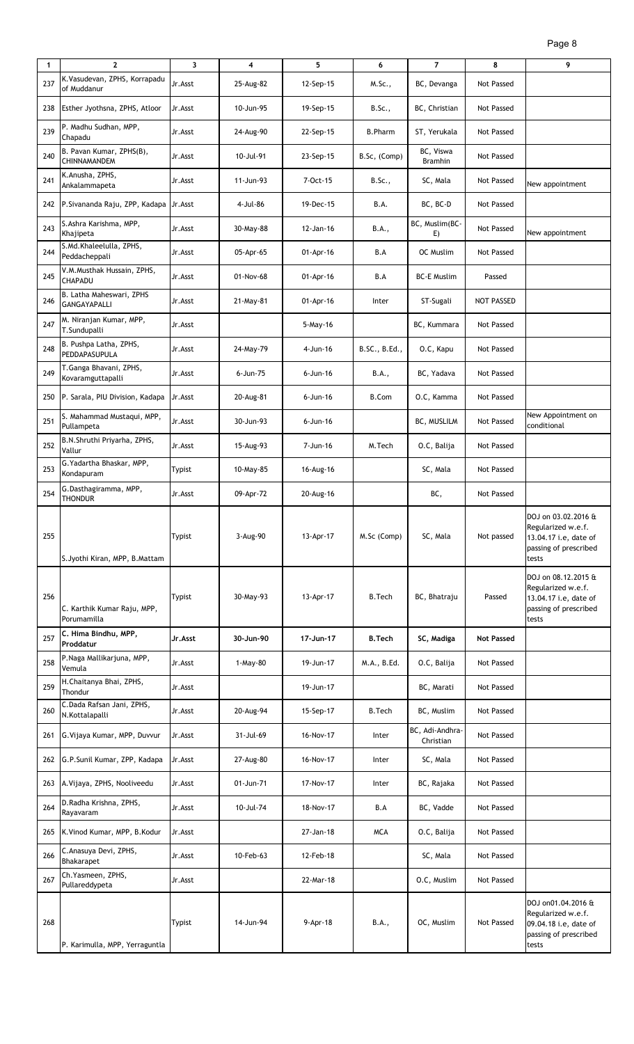| Page 8 |
|--------|
|--------|

| 1   | $\mathbf{2}$                                    | 3             | 4         | 5              | 6              | $\overline{7}$               | 8                 | 9                                                                                                    |
|-----|-------------------------------------------------|---------------|-----------|----------------|----------------|------------------------------|-------------------|------------------------------------------------------------------------------------------------------|
| 237 | K.Vasudevan, ZPHS, Korrapadu<br>of Muddanur     | Jr.Asst       | 25-Aug-82 | 12-Sep-15      | M.Sc.,         | BC, Devanga                  | Not Passed        |                                                                                                      |
|     | 238 Esther Jyothsna, ZPHS, Atloor               | Jr.Asst       | 10-Jun-95 | 19-Sep-15      | B.Sc.,         | BC, Christian                | Not Passed        |                                                                                                      |
| 239 | P. Madhu Sudhan, MPP,<br>Chapadu                | Jr.Asst       | 24-Aug-90 | 22-Sep-15      | <b>B.Pharm</b> | ST, Yerukala                 | Not Passed        |                                                                                                      |
| 240 | B. Pavan Kumar, ZPHS(B),<br>CHINNAMANDEM        | Jr.Asst       | 10-Jul-91 | 23-Sep-15      | B.Sc, (Comp)   | BC, Viswa<br><b>Bramhin</b>  | Not Passed        |                                                                                                      |
| 241 | K.Anusha, ZPHS,<br>Ankalammapeta                | Jr.Asst       | 11-Jun-93 | 7-Oct-15       | B.Sc.,         | SC, Mala                     | Not Passed        | New appointment                                                                                      |
| 242 | P.Sivananda Raju, ZPP, Kadapa Jr.Asst           |               | 4-Jul-86  | 19-Dec-15      | B.A.           | BC, BC-D                     | Not Passed        |                                                                                                      |
| 243 | S. Ashra Karishma, MPP,<br>Khajipeta            | Jr.Asst       | 30-May-88 | 12-Jan-16      | B.A.,          | BC, Muslim(BC-<br>E)         | Not Passed        | New appointment                                                                                      |
| 244 | S.Md.Khaleelulla, ZPHS,<br>Peddacheppali        | Jr.Asst       | 05-Apr-65 | 01-Apr-16      | B.A            | OC Muslim                    | Not Passed        |                                                                                                      |
| 245 | V.M.Musthak Hussain, ZPHS,<br><b>CHAPADU</b>    | Jr.Asst       | 01-Nov-68 | 01-Apr-16      | B.A            | <b>BC-E Muslim</b>           | Passed            |                                                                                                      |
| 246 | B. Latha Maheswari, ZPHS<br><b>GANGAYAPALLI</b> | Jr.Asst       | 21-May-81 | 01-Apr-16      | Inter          | ST-Sugali                    | <b>NOT PASSED</b> |                                                                                                      |
| 247 | M. Niranjan Kumar, MPP,<br>T.Sundupalli         | Jr.Asst       |           | 5-May-16       |                | BC, Kummara                  | Not Passed        |                                                                                                      |
| 248 | B. Pushpa Latha, ZPHS,<br>PEDDAPASUPULA         | Jr.Asst       | 24-May-79 | $4 - Jun - 16$ | B.SC., B.Ed.,  | O.C, Kapu                    | Not Passed        |                                                                                                      |
| 249 | T.Ganga Bhavani, ZPHS,<br>Kovaramguttapalli     | Jr.Asst       | 6-Jun-75  | $6 - Jun-16$   | B.A.,          | BC, Yadava                   | Not Passed        |                                                                                                      |
| 250 | P. Sarala, PIU Division, Kadapa                 | Jr.Asst       | 20-Aug-81 | $6 - Jun-16$   | <b>B.Com</b>   | O.C, Kamma                   | Not Passed        |                                                                                                      |
| 251 | S. Mahammad Mustaqui, MPP,<br>Pullampeta        | Jr.Asst       | 30-Jun-93 | $6 - Jun-16$   |                | BC, MUSLILM                  | Not Passed        | New Appointment on<br>conditional                                                                    |
| 252 | B.N.Shruthi Priyarha, ZPHS,<br>Vallur           | Jr.Asst       | 15-Aug-93 | 7-Jun-16       | M.Tech         | O.C, Balija                  | Not Passed        |                                                                                                      |
| 253 | G. Yadartha Bhaskar, MPP,<br>Kondapuram         | <b>Typist</b> | 10-May-85 | 16-Aug-16      |                | SC, Mala                     | Not Passed        |                                                                                                      |
| 254 | G.Dasthagiramma, MPP,<br><b>THONDUR</b>         | Jr.Asst       | 09-Apr-72 | 20-Aug-16      |                | BC,                          | Not Passed        |                                                                                                      |
| 255 | S. Jyothi Kiran, MPP, B. Mattam                 | <b>Typist</b> | 3-Aug-90  | 13-Apr-17      | M.Sc (Comp)    | SC, Mala                     | Not passed        | DOJ on 03.02.2016 &<br>Regularized w.e.f.<br>13.04.17 i.e, date of<br>passing of prescribed<br>tests |
| 256 | C. Karthik Kumar Raju, MPP,<br>Porumamilla      | <b>Typist</b> | 30-May-93 | 13-Apr-17      | <b>B.Tech</b>  | BC, Bhatraju                 | Passed            | DOJ on 08.12.2015 &<br>Regularized w.e.f.<br>13.04.17 i.e, date of<br>passing of prescribed<br>tests |
| 257 | C. Hima Bindhu, MPP,<br>Proddatur               | Jr.Asst       | 30-Jun-90 | 17-Jun-17      | <b>B.Tech</b>  | SC, Madiga                   | <b>Not Passed</b> |                                                                                                      |
| 258 | P.Naga Mallikarjuna, MPP,<br>Vemula             | Jr.Asst       | 1-May-80  | 19-Jun-17      | M.A., B.Ed.    | O.C, Balija                  | Not Passed        |                                                                                                      |
| 259 | H.Chaitanya Bhai, ZPHS,<br>Thondur              | Jr.Asst       |           | 19-Jun-17      |                | BC, Marati                   | Not Passed        |                                                                                                      |
| 260 | C.Dada Rafsan Jani, ZPHS,<br>N.Kottalapalli     | Jr.Asst       | 20-Aug-94 | 15-Sep-17      | <b>B.Tech</b>  | BC, Muslim                   | Not Passed        |                                                                                                      |
| 261 | G. Vijaya Kumar, MPP, Duvvur                    | Jr.Asst       | 31-Jul-69 | 16-Nov-17      | Inter          | BC, Adi-Andhra-<br>Christian | Not Passed        |                                                                                                      |
|     | 262 G.P.Sunil Kumar, ZPP, Kadapa                | Jr.Asst       | 27-Aug-80 | 16-Nov-17      | Inter          | SC, Mala                     | Not Passed        |                                                                                                      |
| 263 | A. Vijaya, ZPHS, Nooliveedu                     | Jr.Asst       | 01-Jun-71 | 17-Nov-17      | Inter          | BC, Rajaka                   | Not Passed        |                                                                                                      |
| 264 | D.Radha Krishna, ZPHS,<br>Rayavaram             | Jr.Asst       | 10-Jul-74 | 18-Nov-17      | B.A            | BC, Vadde                    | Not Passed        |                                                                                                      |
| 265 | K. Vinod Kumar, MPP, B. Kodur                   | Jr.Asst       |           | 27-Jan-18      | <b>MCA</b>     | O.C, Balija                  | Not Passed        |                                                                                                      |
| 266 | C. Anasuya Devi, ZPHS,<br>Bhakarapet            | Jr.Asst       | 10-Feb-63 | 12-Feb-18      |                | SC, Mala                     | Not Passed        |                                                                                                      |
| 267 | Ch. Yasmeen, ZPHS,<br>Pullareddypeta            | Jr.Asst       |           | 22-Mar-18      |                | O.C, Muslim                  | Not Passed        |                                                                                                      |
| 268 | P. Karimulla, MPP, Yerraguntla                  | <b>Typist</b> | 14-Jun-94 | 9-Apr-18       | B.A.,          | OC, Muslim                   | Not Passed        | DOJ on01.04.2016 &<br>Regularized w.e.f.<br>09.04.18 i.e, date of<br>passing of prescribed<br>tests  |